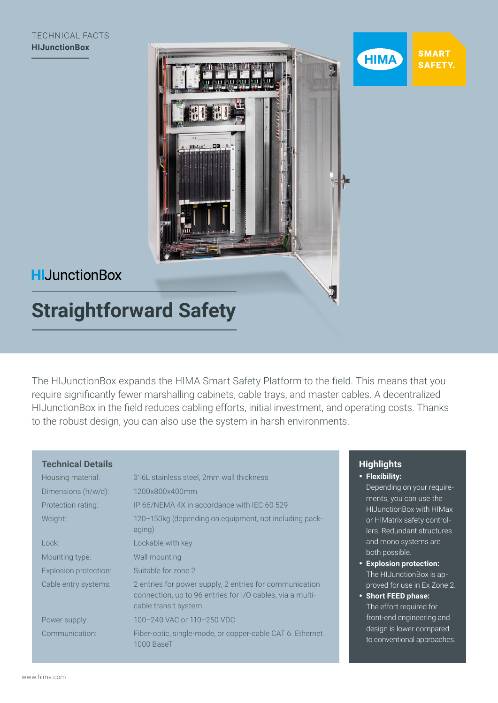



**HIMA** 

## **HIJunctionBox**

# **Straightforward Safety**

The HIJunctionBox expands the HIMA Smart Safety Platform to the field. This means that you require significantly fewer marshalling cabinets, cable trays, and master cables. A decentralized HIJunctionBox in the field reduces cabling efforts, initial investment, and operating costs. Thanks to the robust design, you can also use the system in harsh environments.

#### **Highlights** • **Flexibility:**  Depending on your requirements, you can use the HIJunctionBox with HIMax or HIMatrix safety controllers. Redundant structures and mono systems are both possible. • **Explosion protection:** The HIJunctionBox is approved for use in Ex Zone 2. • **Short FEED phase:** The effort required for front-end engineering and design is lower compared to conventional approaches. **Technical Details** Housing material: 316L stainless steel, 2mm wall thickness Dimensions (h/w/d): 1200x800x400mm Protection rating: IP 66/NEMA 4X in accordance with IEC 60 529 Weight: 120–150kg (depending on equipment, not including packaging) Lock: Lockable with key Mounting type: Wall mounting Explosion protection: Suitable for zone 2 Cable entry systems: 2 entries for power supply, 2 entries for communication connection, up to 96 entries for I/O cables, via a multicable transit system Power supply: 100–240 VAC or 110–250 VDC Communication: Fiber-optic, single-mode, or copper-cable CAT 6. Ethernet 1000 BaseT

#### www.hima.com